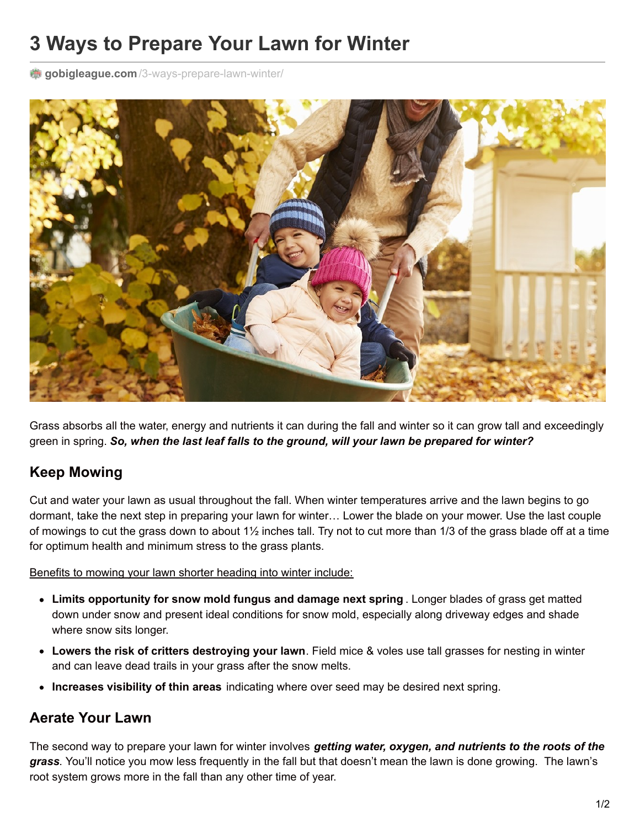# **3 Ways to Prepare Your Lawn for Winter**

**gobigleague.com**[/3-ways-prepare-lawn-winter/](https://gobigleague.com/3-ways-prepare-lawn-winter/)



Grass absorbs all the water, energy and nutrients it can during the fall and winter so it can grow tall and exceedingly green in spring. *So, when the last leaf falls to the ground, will your lawn be prepared for winter?*

## **Keep Mowing**

Cut and water your lawn as usual throughout the fall. When winter temperatures arrive and the lawn begins to go dormant, take the next step in preparing your lawn for winter… Lower the blade on your mower. Use the last couple of mowings to cut the grass down to about 1½ inches tall. Try not to cut more than 1/3 of the grass blade off at a time for optimum health and minimum stress to the grass plants.

Benefits to mowing your lawn shorter heading into winter include:

- **Limits opportunity for snow mold fungus and damage next spring** . Longer blades of grass get matted down under snow and present ideal conditions for snow mold, especially along driveway edges and shade where snow sits longer.
- **Lowers the risk of critters destroying your lawn**. Field mice & voles use tall grasses for nesting in winter and can leave dead trails in your grass after the snow melts.
- **Increases visibility of thin areas** indicating where over seed may be desired next spring.

## **Aerate Your Lawn**

The second way to prepare your lawn for winter involves *getting water, oxygen, and nutrients to the roots of the grass*. You'll notice you mow less frequently in the fall but that doesn't mean the lawn is done growing. The lawn's root system grows more in the fall than any other time of year.